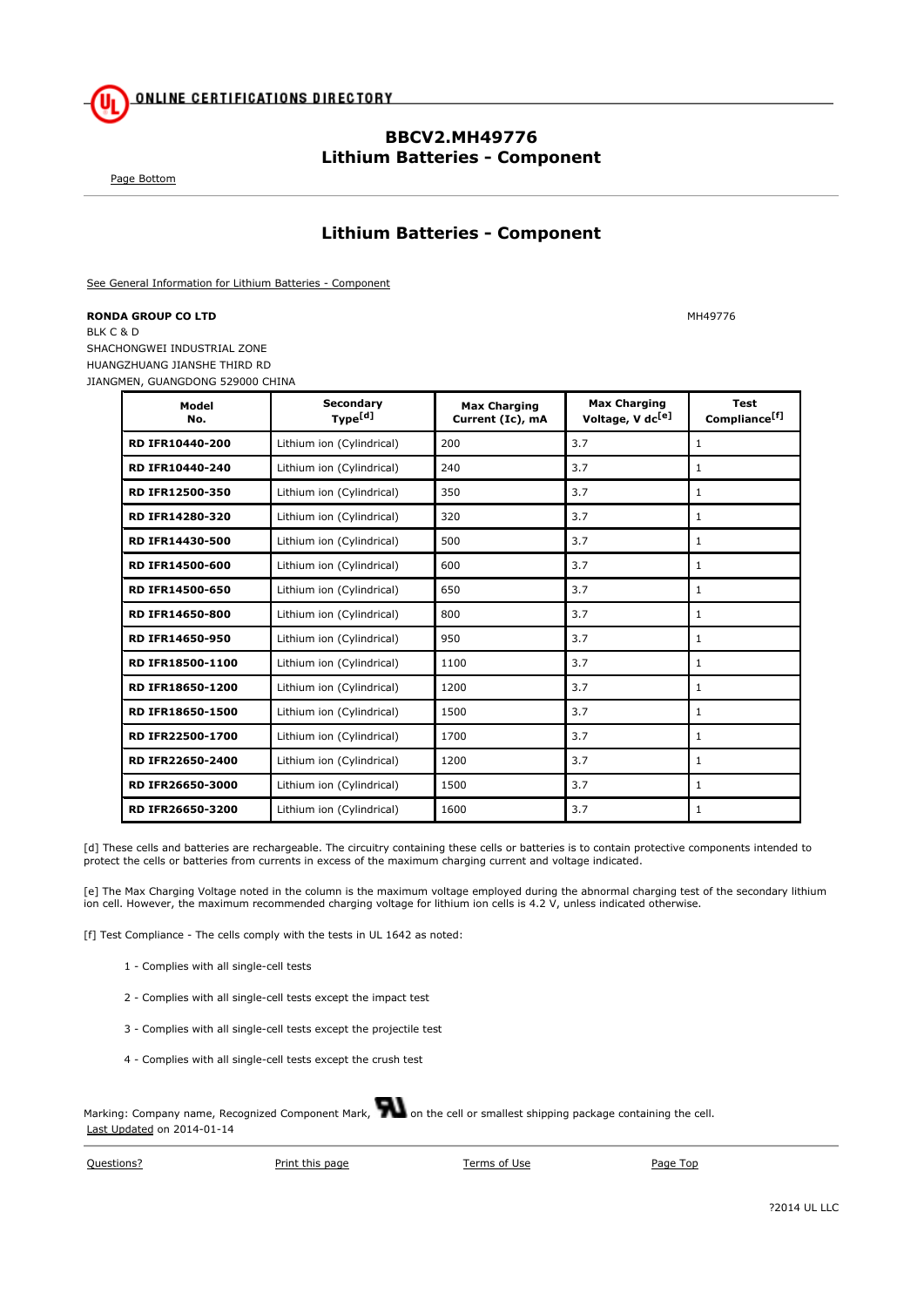

## **BBCV2.MH49776 Lithium Batteries - Component**

Page Bottom

## **Lithium Batteries - Component**

See General Information for Lithium Batteries - Component

**RONDA GROUP CO LTD** MH49776 BLK C & D SHACHONGWEI INDUSTRIAL ZONE HUANGZHUANG JIANSHE THIRD RD JIANGMEN, GUANGDONG 529000 CHINA

| Model<br>No.            | Secondary<br>Type <sup>[d]</sup> | <b>Max Charging</b><br>Current (Ic), mA | <b>Max Charging</b><br>Voltage, V dc <sup>[e]</sup> | <b>Test</b><br>Compliance <sup>[f]</sup> |
|-------------------------|----------------------------------|-----------------------------------------|-----------------------------------------------------|------------------------------------------|
| RD IFR10440-200         | Lithium ion (Cylindrical)        | 200                                     | 3.7                                                 | $\mathbf{1}$                             |
| <b>RD IFR10440-240</b>  | Lithium ion (Cylindrical)        | 240                                     | 3.7                                                 | 1                                        |
| <b>RD IFR12500-350</b>  | Lithium ion (Cylindrical)        | 350                                     | 3.7                                                 | 1                                        |
| <b>RD IFR14280-320</b>  | Lithium ion (Cylindrical)        | 320                                     | 3.7                                                 | 1                                        |
| <b>RD IFR14430-500</b>  | Lithium ion (Cylindrical)        | 500                                     | 3.7                                                 | 1                                        |
| RD IFR14500-600         | Lithium ion (Cylindrical)        | 600                                     | 3.7                                                 | $\mathbf{1}$                             |
| <b>RD IFR14500-650</b>  | Lithium ion (Cylindrical)        | 650                                     | 3.7                                                 | 1                                        |
| <b>RD IFR14650-800</b>  | Lithium ion (Cylindrical)        | 800                                     | 3.7                                                 | $\mathbf{1}$                             |
| <b>RD IFR14650-950</b>  | Lithium ion (Cylindrical)        | 950                                     | 3.7                                                 | 1                                        |
| <b>RD IFR18500-1100</b> | Lithium ion (Cylindrical)        | 1100                                    | 3.7                                                 | 1                                        |
| <b>RD IFR18650-1200</b> | Lithium ion (Cylindrical)        | 1200                                    | 3.7                                                 | 1                                        |
| <b>RD IFR18650-1500</b> | Lithium ion (Cylindrical)        | 1500                                    | 3.7                                                 | 1                                        |
| RD IFR22500-1700        | Lithium ion (Cylindrical)        | 1700                                    | 3.7                                                 | 1                                        |
| <b>RD IFR22650-2400</b> | Lithium ion (Cylindrical)        | 1200                                    | 3.7                                                 | $\mathbf{1}$                             |
| RD IFR26650-3000        | Lithium ion (Cylindrical)        | 1500                                    | 3.7                                                 | 1                                        |
| <b>RD IFR26650-3200</b> | Lithium ion (Cylindrical)        | 1600                                    | 3.7                                                 | $\mathbf{1}$                             |

[d] These cells and batteries are rechargeable. The circuitry containing these cells or batteries is to contain protective components intended to protect the cells or batteries from currents in excess of the maximum charging current and voltage indicated.

[e] The Max Charging Voltage noted in the column is the maximum voltage employed during the abnormal charging test of the secondary lithium<br>ion cell. However, the maximum recommended charging voltage for lithium ion cells

[f] Test Compliance - The cells comply with the tests in UL 1642 as noted:

- 1 Complies with all single-cell tests
- 2 Complies with all single-cell tests except the impact test
- 3 Complies with all single-cell tests except the projectile test
- 4 Complies with all single-cell tests except the crush test

Marking: Company name, Recognized Component Mark, **Was a probe cell or smallest shipping package containing the cell.** Last Updated on 2014-01-14

Questions? Print this page Terms of Use Page Top